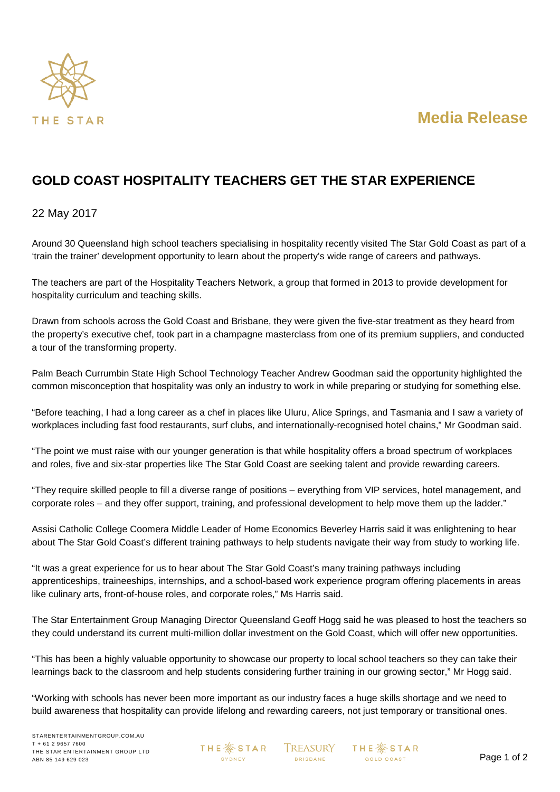



## **GOLD COAST HOSPITALITY TEACHERS GET THE STAR EXPERIENCE**

## 22 May 2017

Around 30 Queensland high school teachers specialising in hospitality recently visited The Star Gold Coast as part of a 'train the trainer' development opportunity to learn about the property's wide range of careers and pathways.

The teachers are part of the Hospitality Teachers Network, a group that formed in 2013 to provide development for hospitality curriculum and teaching skills.

Drawn from schools across the Gold Coast and Brisbane, they were given the five-star treatment as they heard from the property's executive chef, took part in a champagne masterclass from one of its premium suppliers, and conducted a tour of the transforming property.

Palm Beach Currumbin State High School Technology Teacher Andrew Goodman said the opportunity highlighted the common misconception that hospitality was only an industry to work in while preparing or studying for something else.

"Before teaching, I had a long career as a chef in places like Uluru, Alice Springs, and Tasmania and I saw a variety of workplaces including fast food restaurants, surf clubs, and internationally-recognised hotel chains," Mr Goodman said.

"The point we must raise with our younger generation is that while hospitality offers a broad spectrum of workplaces and roles, five and six-star properties like The Star Gold Coast are seeking talent and provide rewarding careers.

"They require skilled people to fill a diverse range of positions – everything from VIP services, hotel management, and corporate roles – and they offer support, training, and professional development to help move them up the ladder."

Assisi Catholic College Coomera Middle Leader of Home Economics Beverley Harris said it was enlightening to hear about The Star Gold Coast's different training pathways to help students navigate their way from study to working life.

"It was a great experience for us to hear about The Star Gold Coast's many training pathways including apprenticeships, traineeships, internships, and a school-based work experience program offering placements in areas like culinary arts, front-of-house roles, and corporate roles," Ms Harris said.

The Star Entertainment Group Managing Director Queensland Geoff Hogg said he was pleased to host the teachers so they could understand its current multi-million dollar investment on the Gold Coast, which will offer new opportunities.

"This has been a highly valuable opportunity to showcase our property to local school teachers so they can take their learnings back to the classroom and help students considering further training in our growing sector," Mr Hogg said.

"Working with schools has never been more important as our industry faces a huge skills shortage and we need to build awareness that hospitality can provide lifelong and rewarding careers, not just temporary or transitional ones.

**THE ※ STAR SYDNEY** 

TREASURY **BRISBANE**